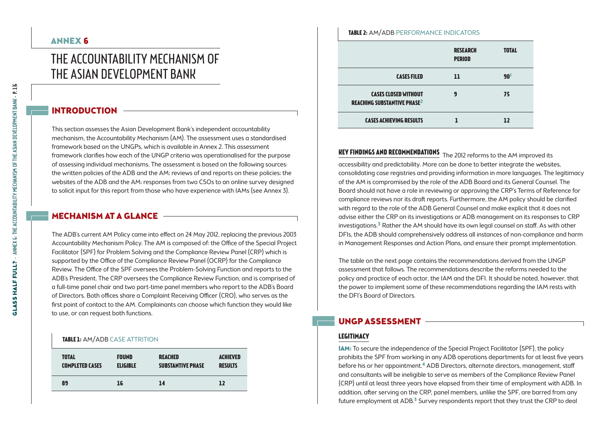# The Accountability Mechanism of the Asian Development Bank

# INTRODUCTION

This section assesses the Asian Development Bank's independent accountability mechanism, the Accountability Mechanism (AM). The assessment uses a standardised framework based on the UNGPs, which is available in Annex 2. This assessment framework clarifies how each of the UNGP criteria was operationalised for the purpose of assessing individual mechanisms. The assessment is based on the following sources: the written policies of the ADB and the AM; reviews of and reports on these policies; the websites of the ADB and the AM; responses from two CSOs to an online survey designed to solicit input for this report from those who have experience with IAMs (see Annex 3).

# Mechanism at a glance

The ADB's current AM Policy came into effect on 24 May 2012, replacing the previous 2003 Accountability Mechanism Policy. The AM is composed of: the Office of the Special Project Facilitator (SPF) for Problem Solving and the Compliance Review Panel (CRP) which is supported by the Office of the Compliance Review Panel (OCRP) for the Compliance Review. The Office of the SPF oversees the Problem-Solving Function and reports to the ADB's President. The CRP oversees the Compliance Review Function, and is comprised of a full-time panel chair and two part-time panel members who report to the ADB's Board of Directors. Both offices share a Complaint Receiving Officer (CRO), who serves as the first point of contact to the AM. Complainants can choose which function they would like to use, or can request both functions.

## **Table 1:** AM/ADB Case attrition

| <b>TOTAL</b>           | <b>FOUND</b>    | <b>REACHED</b>           | <b>ACHIEVED</b> |
|------------------------|-----------------|--------------------------|-----------------|
| <b>COMPLETED CASES</b> | <b>ELIGIBLE</b> | <b>SUBSTANTIVE PHASE</b> | <b>RESULTS</b>  |
| 89                     | 16              | 14                       | 12              |

#### **Research Period 11 total 90**1 **cases filed**

**Table 2:** AM/ADB Performance indicators

**Cases closed without reaching substantive phase**2

**Cases achieving results**

**Key findings and recommendations** The 2012 reforms to the AM improved its accessibility and predictability. More can be done to better integrate the websites, consolidating case registries and providing information in more languages. The legitimacy of the AM is compromised by the role of the ADB Board and its General Counsel. The Board should not have a role in reviewing or approving the CRP's Terms of Reference for compliance reviews nor its draft reports. Furthermore, the AM policy should be clarified with regard to the role of the ADB General Counsel and make explicit that it does not advise either the CRP on its investigations or ADB management on its responses to CRP investigations.3 Rather the AM should have its own legal counsel on staff. As with other DFIs, the ADB should comprehensively address all instances of non-compliance and harm in Management Responses and Action Plans, and ensure their prompt implementation.

**9**

**75**

**12**

 **1**

The table on the next page contains the recommendations derived from the UNGP assessment that follows. The recommendations describe the reforms needed to the policy and practice of each actor, the IAM and the DFI. It should be noted, however, that the power to implement some of these recommendations regarding the IAM rests with the DFI's Board of Directors.

# UNGP Assessment

# **Legitimacy**

IAM: To secure the independence of the Special Project Facilitator (SPF), the policy prohibits the SPF from working in any ADB operations departments for at least five years before his or her appointment.4 ADB Directors, alternate directors, management, staff and consultants will be ineligible to serve as members of the Compliance Review Panel (CRP) until at least three years have elapsed from their time of employment with ADB. In addition, after serving on the CRP, panel members, unlike the SPF, are barred from any future employment at ADB.<sup>5</sup> Survey respondents report that they trust the CRP to deal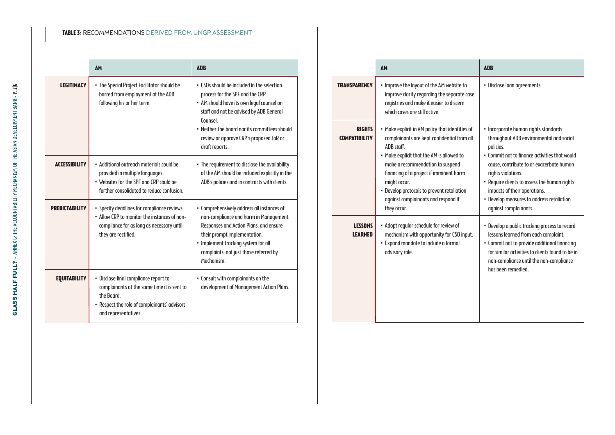## **Table 3:** Recommendations derived from UNGP assessment

|                      | AM                                                                                                                                                                         | <b>ADB</b>                                                                                                                                                                                                                                                                                       |
|----------------------|----------------------------------------------------------------------------------------------------------------------------------------------------------------------------|--------------------------------------------------------------------------------------------------------------------------------------------------------------------------------------------------------------------------------------------------------------------------------------------------|
| <b>LEGITIMACY</b>    | • The Special Project Facilitator should be<br>barred from employment at the ADB<br>following his or her term.                                                             | • CSOs should be included in the selection<br>process for the SPF and the CRP.<br>• AM should have its own legal counsel on<br>staff and not be advised by ADB General<br>Counsel.<br>. Neither the board nor its committees should<br>review or approve CRP's proposed ToR or<br>draft reports. |
| <b>ACCESSIBILITY</b> | . Additional outreach materials could be<br>provided in multiple languages.<br>. Websites for the SPF and CRP could be<br>further consolidated to reduce confusion.        | • The requirement to disclose the availability<br>of the AM should be included explicitly in the<br>ADB's policies and in contracts with clients.                                                                                                                                                |
| PREDICTABILITY       | • Specify deadlines for compliance reviews.<br>• Allow CRP to monitor the instances of non-<br>compliance for as long as necessary until<br>they are rectified.            | • Comprehensively address all instances of<br>non-compliance and harm in Management<br>Responses and Action Plans, and ensure<br>their prompt implementation.<br>• Implement tracking system for all<br>complaints, not just those referred by<br>Mechanism.                                     |
| <b>EQUITABILITY</b>  | • Disclose final compliance report to<br>complainants at the same time it is sent to<br>the Board.<br>• Respect the role of complainants' advisors<br>and representatives. | • Consult with complainants on the<br>development of Management Action Plans.                                                                                                                                                                                                                    |

|                                       | <b>AM</b>                                                                                                                                                                                                                                                                                                                                                   | <b>ADB</b>                                                                                                                                                                                                                                                                                                                                                            |
|---------------------------------------|-------------------------------------------------------------------------------------------------------------------------------------------------------------------------------------------------------------------------------------------------------------------------------------------------------------------------------------------------------------|-----------------------------------------------------------------------------------------------------------------------------------------------------------------------------------------------------------------------------------------------------------------------------------------------------------------------------------------------------------------------|
| <b>TRANSPARENCY</b>                   | • Improve the layout of the AM website to<br>improve clarity regarding the separate case<br>registries and make it easier to discern<br>which cases are still active.                                                                                                                                                                                       | · Disclose loan agreements.                                                                                                                                                                                                                                                                                                                                           |
| <b>RIGHTS</b><br><b>COMPATIBILITY</b> | • Make explicit in AM policy that identities of<br>complainants are kept confidential from all<br>ADB staff<br>• Make explicit that the AM is allowed to<br>make a recommendation to suspend<br>financing of a project if imminent harm<br>might occur.<br>• Develop protocols to prevent retaliation<br>aqainst complainants and respond if<br>they occur. | · Incorporate human rights standards<br>throughout ADB environmental and social<br>policies.<br>. Commit not to finance activities that would<br>cause, contribute to or exacerbate human<br>rights violations.<br>• Require clients to assess the human rights<br>impacts of their operations.<br>• Develop measures to address retaliation<br>against complainants. |
| <b>LESSONS</b><br><b>LEARNED</b>      | • Adopt regular schedule for review of<br>mechanism with opportunity for CSO input.<br>• Expand mandate to include a formal<br>advisory role.                                                                                                                                                                                                               | • Develop a public tracking process to record<br>lessons learned from each complaint.<br>• Commit not to provide additional financing<br>for similar activities to clients found to be in<br>non-compliance until the non-compliance<br>has been remedied.                                                                                                            |

 $\overline{\phantom{0}}$ 

 $\overline{\phantom{0}}$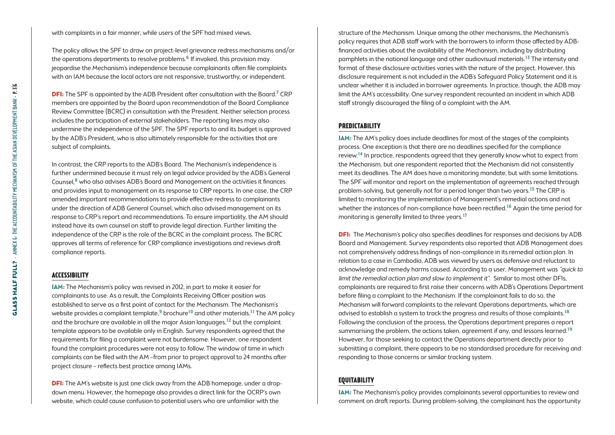with complaints in a fair manner, while users of the SPF had mixed views.

The policy allows the SPF to draw on project-level grievance redress mechanisms and/or the operations departments to resolve problems.<sup>6</sup> If invoked, this provision may jeopardise the Mechanism's independence because complainants often file complaints with an IAM because the local actors are not responsive, trustworthy, or independent.

**DFI:** The SPF is appointed by the ADB President after consultation with the Board.<sup>7</sup> CRP members are appointed by the Board upon recommendation of the Board Compliance Review Committee (BCRC) in consultation with the President. Neither selection process includes the participation of external stakeholders. The reporting lines may also undermine the independence of the SPF. The SPF reports to and its budget is approved by the ADB's President, who is also ultimately responsible for the activities that are subject of complaints.

In contrast, the CRP reports to the ADB's Board. The Mechanism's independence is further undermined because it must rely on legal advice provided by the ADB's General Counsel,8 who also advises ADB's Board and Management on the activities it finances and provides input to management on its response to CRP reports. In one case, the CRP amended important recommendations to provide effective redress to complainants under the direction of ADB General Counsel, which also advised management on its response to CRP's report and recommendations. To ensure impartiality, the AM should instead have its own counsel on staff to provide legal direction. Further limiting the independence of the CRP is the role of the BCRC in the complaint process. The BCRC approves all terms of reference for CRP compliance investigations and reviews draft compliance reports.

## **Accessibility**

IAM: The Mechanism's policy was revised in 2012, in part to make it easier for complainants to use. As a result, the Complaints Receiving Officer position was established to serve as a first point of contact for the Mechanism. The Mechanism's website provides a complaint template,<sup>9</sup> brochure<sup>10</sup> and other materials.<sup>11</sup> The AM policy and the brochure are available in all the major Asian languages,<sup>12</sup> but the complaint template appears to be available only in English. Survey respondents agreed that the requirements for filing a complaint were not burdensome. However, one respondent found the complaint procedures were not easy to follow. The window of time in which complaints can be filed with the AM –from prior to project approval to 24 months after project closure – reflects best practice among IAMs.

**DFI:** The AM's website is just one click away from the ADB homepage, under a dropdown menu. However, the homepage also provides a direct link for the OCRP's own website, which could cause confusion to potential users who are unfamiliar with the

structure of the Mechanism. Unique among the other mechanisms, the Mechanism's policy requires that ADB staff work with the borrowers to inform those affected by ADBfinanced activities about the availability of the Mechanism, including by distributing pamphlets in the national language and other audiovisual materials.13 The intensity and format of these disclosure activities varies with the nature of the project. However, this disclosure requirement is not included in the ADB's Safeguard Policy Statement and it is unclear whether it is included in borrower agreements. In practice, though, the ADB may limit the AM's accessibility. One survey respondent recounted an incident in which ADB staff strongly discouraged the filing of a complaint with the AM.

## **Predictability**

IAM: The AM's policy does include deadlines for most of the stages of the complaints process. One exception is that there are no deadlines specified for the compliance review.14 In practice, respondents agreed that they generally know what to expect from the Mechanism, but one respondent reported that the Mechanism did not consistently meet its deadlines. The AM does have a monitoring mandate, but with some limitations. The SPF will monitor and report on the implementation of agreements reached through problem-solving, but generally not for a period longer than two years.<sup>15</sup> The CRP is limited to monitoring the implementation of Management's remedial actions and not whether the instances of non-compliance have been rectified.<sup>16</sup> Again the time period for monitoring is generally limited to three years.17

**DFI:** The Mechanism's policy also specifies deadlines for responses and decisions by ADB Board and Management. Survey respondents also reported that ADB Management does not comprehensively address findings of non-compliance in its remedial action plan. In relation to a case in Cambodia, ADB was viewed by users as defensive and reluctant to acknowledge and remedy harms caused. According to a user, Management was "quick to limit the remedial action plan and slow to implement it". Similar to most other DFIs, complainants are required to first raise their concerns with ADB's Operations Department before filing a complaint to the Mechanism. If the complainant fails to do so, the Mechanism will forward complaints to the relevant Operations departments, which are advised to establish a system to track the progress and results of those complaints.<sup>18</sup> Following the conclusion of the process, the Operations department prepares a report summarising the problem, the actions taken, agreement if any, and lessons learned.<sup>19</sup> However, for those seeking to contact the Operations department directly prior to submitting a complaint, there appears to be no standardised procedure for receiving and responding to those concerns or similar tracking system.

# **Equitability**

IAM: The Mechanism's policy provides complainants several opportunities to review and comment on draft reports. During problem-solving, the complainant has the opportunity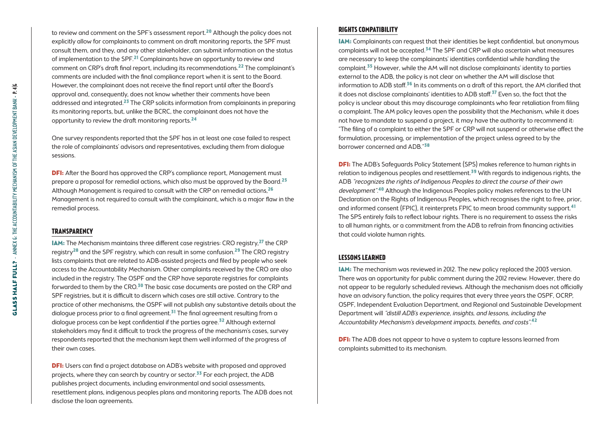to review and comment on the SPF's assessment report.<sup>20</sup> Although the policy does not explicitly allow for complainants to comment on draft monitoring reports, the SPF must consult them, and they, and any other stakeholder, can submit information on the status of implementation to the SPF.<sup>21</sup> Complainants have an opportunity to review and comment on CRP's draft final report, including its recommendations.22 The complainant's comments are included with the final compliance report when it is sent to the Board. However, the complainant does not receive the final report until after the Board's approval and, consequently, does not know whether their comments have been addressed and integrated.23 The CRP solicits information from complainants in preparing its monitoring reports, but, unlike the BCRC, the complainant does not have the opportunity to review the draft monitoring reports.24

One survey respondents reported that the SPF has in at least one case failed to respect the role of complainants' advisors and representatives, excluding them from dialogue sessions.

**DFI:** After the Board has approved the CRP's compliance report, Management must prepare a proposal for remedial actions, which also must be approved by the Board.25 Although Management is required to consult with the CRP on remedial actions,<sup>26</sup> Management is not required to consult with the complainant, which is a major flaw in the remedial process.

#### **Transparency**

IAM: The Mechanism maintains three different case registries: CRO registry,27 the CRP registry<sup>28</sup> and the SPF registry, which can result in some confusion.<sup>29</sup> The CRO registry lists complaints that are related to ADB-assisted projects and filed by people who seek access to the Accountability Mechanism. Other complaints received by the CRO are also included in the registry. The OSPF and the CRP have separate registries for complaints forwarded to them by the CRO. $30$  The basic case documents are posted on the CRP and SPF registries, but it is difficult to discern which cases are still active. Contrary to the practice of other mechanisms, the OSPF will not publish any substantive details about the dialogue process prior to a final agreement.<sup>31</sup> The final agreement resulting from a dialogue process can be kept confidential if the parties agree.<sup>32</sup> Although external stakeholders may find it difficult to track the progress of the mechanism's cases, survey respondents reported that the mechanism kept them well informed of the progress of their own cases.

DFI: Users can find a project database on ADB's website with proposed and approved projects, where they can search by country or sector.<sup>33</sup> For each project, the ADB publishes project documents, including environmental and social assessments, resettlement plans, indigenous peoples plans and monitoring reports. The ADB does not disclose the loan agreements.

#### **Rights compatibility**

IAM: Complainants can request that their identities be kept confidential, but anonymous complaints will not be accepted.34 The SPF and CRP will also ascertain what measures are necessary to keep the complainants' identities confidential while handling the complaint.35 However, while the AM will not disclose complainants' identity to parties external to the ADB, the policy is not clear on whether the AM will disclose that information to ADB staff.<sup>36</sup> In its comments on a draft of this report, the AM clarified that it does not disclose complainants' identities to ADB staff.<sup>37</sup> Even so, the fact that the policy is unclear about this may discourage complainants who fear retaliation from filing a complaint. The AM policy leaves open the possibility that the Mechanism, while it does not have to mandate to suspend a project, it may have the authority to recommend it: "The filing of a complaint to either the SPF or CRP will not suspend or otherwise affect the formulation, processing, or implementation of the project unless agreed to by the borrower concerned and ADB."38

**DFI:** The ADB's Safeguards Policy Statement (SPS) makes reference to human rights in relation to indigenous peoples and resettlement.39 With regards to indigenous rights, the ADB "recognizes the rights of Indigenous Peoples to direct the course of their own development".<sup>40</sup> Although the Indigenous Peoples policy makes references to the UN Declaration on the Rights of Indigenous Peoples, which recognises the right to free, prior, and informed consent (FPIC), it reinterprets FPIC to mean broad community support.41 The SPS entirely fails to reflect labour rights. There is no requirement to assess the risks to all human rights, or a commitment from the ADB to refrain from financing activities that could violate human rights.

## **lessons LEARNED**

IAM: The mechanism was reviewed in 2012. The new policy replaced the 2003 version. There was an opportunity for public comment during the 2012 review. However, there do not appear to be regularly scheduled reviews. Although the mechanism does not officially have an advisory function, the policy requires that every three years the OSPF, OCRP, OSPF, Independent Evaluation Department, and Regional and Sustainable Development Department will "distill ADB's experience, insights, and lessons, including the Accountability Mechanism's development impacts, benefits, and costs".<sup>42</sup>

**DFI:** The ADB does not appear to have a system to capture lessons learned from complaints submitted to its mechanism.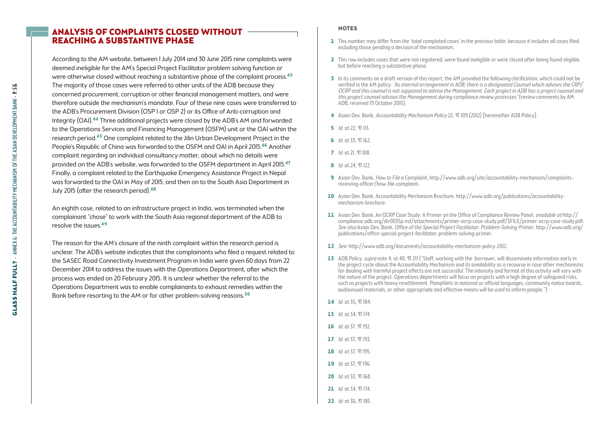## Analysis of Complaints Closed without Reaching a Substantive Phase

According to the AM website, between 1 July 2014 and 30 June 2015 nine complaints were deemed ineligible for the AM's Special Project Facilitator problem solving function or were otherwise closed without reaching a substantive phase of the complaint process.<sup>43</sup> The majority of those cases were referred to other units of the ADB because they concerned procurement, corruption or other financial management matters, and were therefore outside the mechanism's mandate. Four of these nine cases were transferred to the ADB's Procurement Division (OSP 1 or OSP 2) or its Office of Anti-corruption and Integrity (OAI).44 Three additional projects were closed by the ADB's AM and forwarded to the Operations Services and Financing Management (OSFM) unit or the OAI within the research period.45 One complaint related to the Jilin Urban Development Project in the People's Republic of China was forwarded to the OSFM and OAI in April 2015.46 Another complaint regarding an individual consultancy matter, about which no details were provided on the ADB's website, was forwarded to the OSFM department in April 2015.47 Finally, a complaint related to the Earthquake Emergency Assistance Project in Nepal was forwarded to the OAI in May of 2015, and then on to the South Asia Department in July 2015 (after the research period).<sup>48</sup>

An eighth case, related to an infrastructure project in India, was terminated when the complainant "chose" to work with the South Asia regional department of the ADB to resolve the issues.49

The reason for the AM's closure of the ninth complaint within the research period is unclear. The ADB's website indicates that the complainants who filed a request related to the SASEC Road Connectivity Investment Program in India were given 60 days from 22 December 2014 to address the issues with the Operations Department, after which the process was ended on 20 February 2015. It is unclear whether the referral to the Operations Department was to enable complainants to exhaust remedies within the Bank before resorting to the AM or for other problem-solving reasons.<sup>50</sup>

#### **NOTES**

- 1 This number may differ from the 'total completed cases' in the previous table, because it includes all cases filed, including those pending a decision of the mechanism.
- 2 This row includes cases that were not registered, were found ineligible or were closed after being found eligible, but before reaching a substantive phase.
- 3 In its comments on a draft version of this report, the AM provided the following clarification, which could not be verified in the AM policy: "As internal arrangement in ADB, there is a designated Counsel which advises the CRP/ OCRP and this counsel is not supposed to advise the Management. Each project in ADB has a project counsel and this project counsel advises the Management during compliance review processes" (review comments by AM ADB, received 19 October 2015).
- 4 Asian Dev. Bank, Accountability Mechanism Policy 22, TI 109 (2012) [hereinafter ADB Policy].
- **5** *Id.* at 22, *TI* 113.
- 6 *Id.* at 33, 97 162.
- $7$  Id. at 21,  $\Pi$  108.
- 8 *Id.* at 24, T 122.
- 9 Asian Dev. Bank, How to File a Complaint, [http://www.adb.org/site/accountability-mechanism/complaints](http://www.adb.org/site/accountability-mechanism/complaints-receiving-officer/how-file-complaint)[receiving-officer/how-file-complaint](http://www.adb.org/site/accountability-mechanism/complaints-receiving-officer/how-file-complaint).
- 10 Asian Dev. Bank, Accountability Mechanism Brochure, [http://www.adb.org/publications/accountability](http://www.adb.org/publications/accountability-mechanism-brochure)[mechanism-brochure](http://www.adb.org/publications/accountability-mechanism-brochure).
- 11 Asian Dev. Bank, An OCRP Case Study: A Primer on the Office of Compliance Review Panel, *available at* [http://](http://compliance.adb.org/dir0035p.nsf/attachments/primer-ocrp-case-study.pdf/$FILE/primer-ocrp-case-study.pdf) [compliance.adb.org/dir0035p.nsf/attachments/primer-ocrp-case-study.pdf/\\$FILE/primer-ocrp-case-study.pdf;](http://compliance.adb.org/dir0035p.nsf/attachments/primer-ocrp-case-study.pdf/$FILE/primer-ocrp-case-study.pdf) See also Asian Dev. Bank, Office of the Special Project Facilitator: Problem-Solving Primer, [http://www.adb.org/](http://www.adb.org/publications/office-special-project-facilitator-problem-solving-primer) [publications/office-special-project-facilitator-problem-solving-primer](http://www.adb.org/publications/office-special-project-facilitator-problem-solving-primer).
- 12 See:<http://www.adb.org/documents/accountability-mechanism-policy-2012>.
- 13 ADB Policy, supra note 4, at 40,  $\Pi$  211 ("Staff, working with the borrower, will disseminate information early in the project cycle about the Accountability Mechanism and its availability as a recourse in case other mechanisms for dealing with harmful project effects are not successful. The intensity and format of this activity will vary with the nature of the project. Operations departments will focus on projects with a high degree of safeguard risks, such as projects with heavy resettlement. Pamphlets in national or official languages, community notice boards, audiovisual materials, or other appropriate and effective means will be used to inform people.")
- 14 *Id.* at 35, 97 184.
- 15 *Id.* at 34, T 174
- 16  $Id$  at 37  $\Pi$  192
- $17$  *Id.* at 37,  $9193$
- 18 *Id.* at 37, 97 195.
- 19 *Id. at* 37, 97, 196.
- 20 *Id.* at 33, 97 168.
- 21 *Id.* at 34, 97 174
- 22 *Id.* at 36, 97, 185.